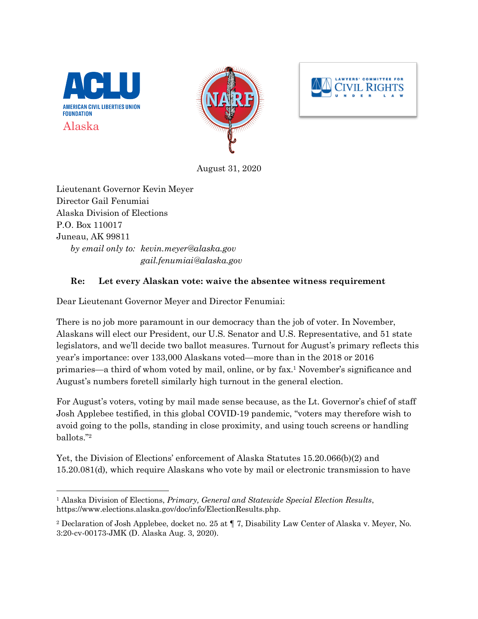





August 31, 2020

Lieutenant Governor Kevin Meyer Director Gail Fenumiai Alaska Division of Elections P.O. Box 110017 Juneau, AK 99811 *by email only to: kevin.meyer@alaska.gov gail.fenumiai@alaska.gov*

## **Re: Let every Alaskan vote: waive the absentee witness requirement**

Dear Lieutenant Governor Meyer and Director Fenumiai:

There is no job more paramount in our democracy than the job of voter. In November, Alaskans will elect our President, our U.S. Senator and U.S. Representative, and 51 state legislators, and we'll decide two ballot measures. Turnout for August's primary reflects this year's importance: over 133,000 Alaskans voted—more than in the 2018 or 2016 primaries—a third of whom voted by mail, online, or by fax. <sup>1</sup> November's significance and August's numbers foretell similarly high turnout in the general election.

For August's voters, voting by mail made sense because, as the Lt. Governor's chief of staff Josh Applebee testified, in this global COVID-19 pandemic, "voters may therefore wish to avoid going to the polls, standing in close proximity, and using touch screens or handling ballots."2

Yet, the Division of Elections' enforcement of Alaska Statutes 15.20.066(b)(2) and 15.20.081(d), which require Alaskans who vote by mail or electronic transmission to have

 <sup>1</sup> Alaska Division of Elections, *Primary, General and Statewide Special Election Results*, https://www.elections.alaska.gov/doc/info/ElectionResults.php.

<sup>2</sup> Declaration of Josh Applebee, docket no. 25 at ¶ 7, Disability Law Center of Alaska v. Meyer, No. 3:20-cv-00173-JMK (D. Alaska Aug. 3, 2020).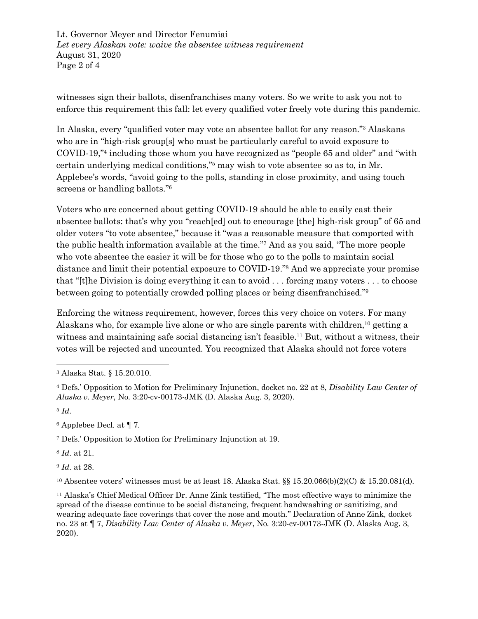Lt. Governor Meyer and Director Fenumiai *Let every Alaskan vote: waive the absentee witness requirement* August 31, 2020 Page 2 of 4

witnesses sign their ballots, disenfranchises many voters. So we write to ask you not to enforce this requirement this fall: let every qualified voter freely vote during this pandemic.

In Alaska, every "qualified voter may vote an absentee ballot for any reason."3 Alaskans who are in "high-risk group[s] who must be particularly careful to avoid exposure to COVID-19,"4 including those whom you have recognized as "people 65 and older" and "with certain underlying medical conditions,"5 may wish to vote absentee so as to, in Mr. Applebee's words, "avoid going to the polls, standing in close proximity, and using touch screens or handling ballots."6

Voters who are concerned about getting COVID-19 should be able to easily cast their absentee ballots: that's why you "reach[ed] out to encourage [the] high-risk group" of 65 and older voters "to vote absentee," because it "was a reasonable measure that comported with the public health information available at the time."7 And as you said, "The more people who vote absentee the easier it will be for those who go to the polls to maintain social distance and limit their potential exposure to COVID-19."8 And we appreciate your promise that "[t]he Division is doing everything it can to avoid . . . forcing many voters . . . to choose between going to potentially crowded polling places or being disenfranchised."9

Enforcing the witness requirement, however, forces this very choice on voters. For many Alaskans who, for example live alone or who are single parents with children, <sup>10</sup> getting a witness and maintaining safe social distancing isn't feasible.<sup>11</sup> But, without a witness, their votes will be rejected and uncounted. You recognized that Alaska should not force voters

<sup>6</sup> Applebee Decl. at ¶ 7.

<sup>7</sup> Defs.' Opposition to Motion for Preliminary Injunction at 19.

<sup>8</sup> *Id.* at 21.

<sup>9</sup> *Id.* at 28.

<sup>10</sup> Absentee voters' witnesses must be at least 18. Alaska Stat. §§ 15.20.066(b)(2)(C) & 15.20.081(d).

<sup>11</sup> Alaska's Chief Medical Officer Dr. Anne Zink testified, "The most effective ways to minimize the spread of the disease continue to be social distancing, frequent handwashing or sanitizing, and wearing adequate face coverings that cover the nose and mouth." Declaration of Anne Zink, docket no. 23 at ¶ 7, *Disability Law Center of Alaska v. Meyer*, No. 3:20-cv-00173-JMK (D. Alaska Aug. 3, 2020).

 <sup>3</sup> Alaska Stat. § 15.20.010.

<sup>4</sup> Defs.' Opposition to Motion for Preliminary Injunction, docket no. 22 at 8, *Disability Law Center of Alaska v. Meyer*, No. 3:20-cv-00173-JMK (D. Alaska Aug. 3, 2020).

<sup>5</sup> *Id.*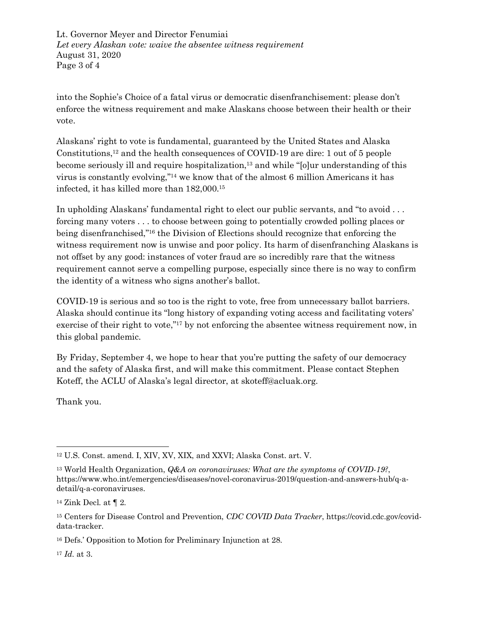Lt. Governor Meyer and Director Fenumiai *Let every Alaskan vote: waive the absentee witness requirement* August 31, 2020 Page 3 of 4

into the Sophie's Choice of a fatal virus or democratic disenfranchisement: please don't enforce the witness requirement and make Alaskans choose between their health or their vote.

Alaskans' right to vote is fundamental, guaranteed by the United States and Alaska Constitutions, <sup>12</sup> and the health consequences of COVID-19 are dire: 1 out of 5 people become seriously ill and require hospitalization,<sup>13</sup> and while "[o]ur understanding of this virus is constantly evolving,"14 we know that of the almost 6 million Americans it has infected, it has killed more than 182,000.15

In upholding Alaskans' fundamental right to elect our public servants, and "to avoid . . . forcing many voters . . . to choose between going to potentially crowded polling places or being disenfranchised,"16 the Division of Elections should recognize that enforcing the witness requirement now is unwise and poor policy. Its harm of disenfranching Alaskans is not offset by any good: instances of voter fraud are so incredibly rare that the witness requirement cannot serve a compelling purpose, especially since there is no way to confirm the identity of a witness who signs another's ballot.

COVID-19 is serious and so too is the right to vote, free from unnecessary ballot barriers. Alaska should continue its "long history of expanding voting access and facilitating voters' exercise of their right to vote,"<sup>17</sup> by not enforcing the absentee witness requirement now, in this global pandemic.

By Friday, September 4, we hope to hear that you're putting the safety of our democracy and the safety of Alaska first, and will make this commitment. Please contact Stephen Koteff, the ACLU of Alaska's legal director, at skoteff@acluak.org.

Thank you.

<sup>17</sup> *Id.* at 3.

 <sup>12</sup> U.S. Const. amend. I, XIV, XV, XIX, and XXVI; Alaska Const. art. V.

<sup>13</sup> World Health Organization, *Q&A on coronaviruses: What are the symptoms of COVID-19?*, https://www.who.int/emergencies/diseases/novel-coronavirus-2019/question-and-answers-hub/q-adetail/q-a-coronaviruses.

<sup>&</sup>lt;sup>14</sup> Zink Decl. at  $\P$  2.

<sup>15</sup> Centers for Disease Control and Prevention, *CDC COVID Data Tracker*, https://covid.cdc.gov/coviddata-tracker.

<sup>16</sup> Defs.' Opposition to Motion for Preliminary Injunction at 28.